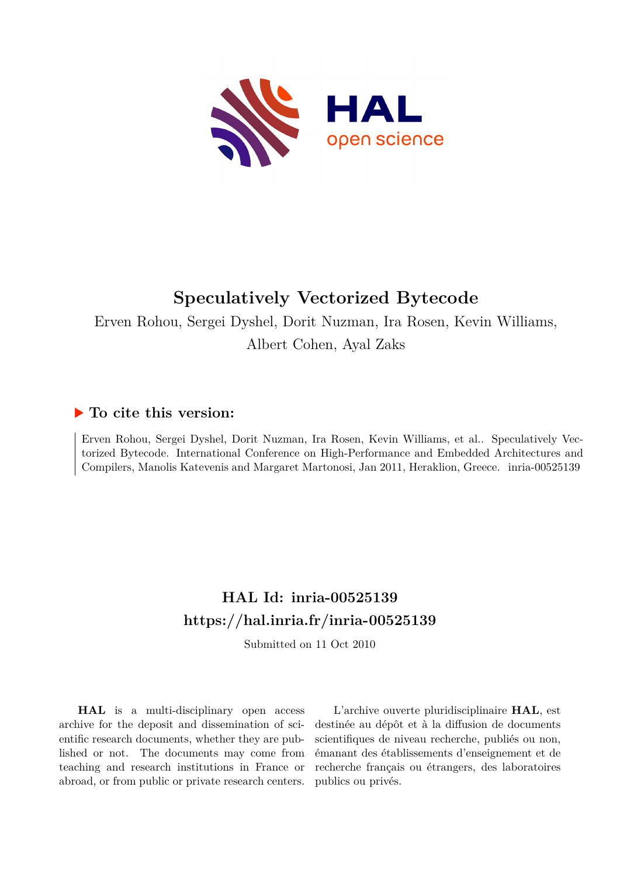

# **Speculatively Vectorized Bytecode**

# Erven Rohou, Sergei Dyshel, Dorit Nuzman, Ira Rosen, Kevin Williams, Albert Cohen, Ayal Zaks

# **To cite this version:**

Erven Rohou, Sergei Dyshel, Dorit Nuzman, Ira Rosen, Kevin Williams, et al.. Speculatively Vectorized Bytecode. International Conference on High-Performance and Embedded Architectures and Compilers, Manolis Katevenis and Margaret Martonosi, Jan 2011, Heraklion, Greece. inria-00525139

# **HAL Id: inria-00525139 <https://hal.inria.fr/inria-00525139>**

Submitted on 11 Oct 2010

**HAL** is a multi-disciplinary open access archive for the deposit and dissemination of scientific research documents, whether they are published or not. The documents may come from teaching and research institutions in France or abroad, or from public or private research centers.

L'archive ouverte pluridisciplinaire **HAL**, est destinée au dépôt et à la diffusion de documents scientifiques de niveau recherche, publiés ou non, émanant des établissements d'enseignement et de recherche français ou étrangers, des laboratoires publics ou privés.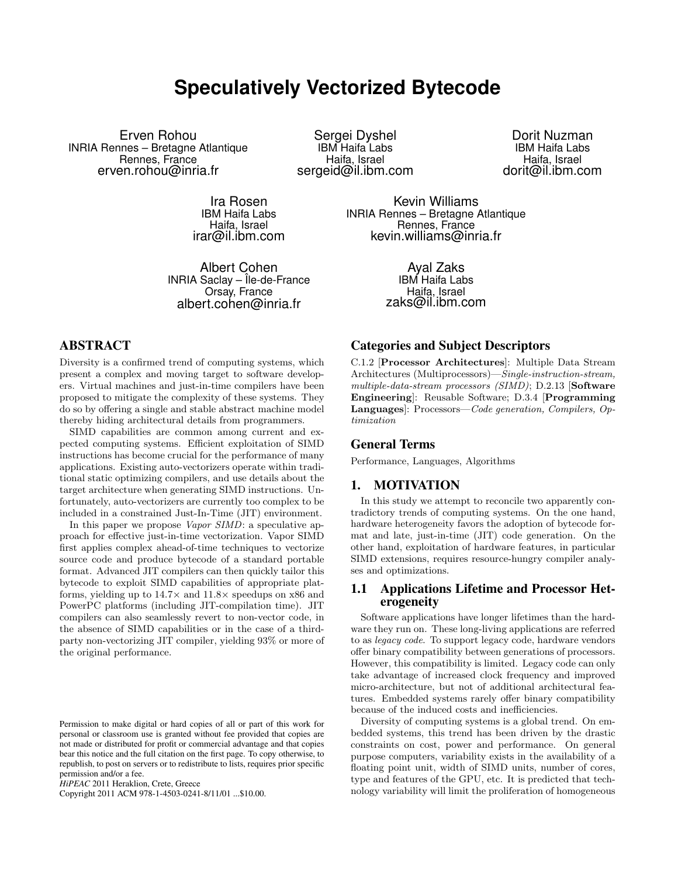# **Speculatively Vectorized Bytecode**

Erven Rohou INRIA Rennes – Bretagne Atlantique Rennes, France erven.rohou@inria.fr

> Ira Rosen IBM Haifa Labs Haifa, Israel irar@il.ibm.com

Albert Cohen INRIA Saclay – Île-de-France Orsay, France albert.cohen@inria.fr

# ABSTRACT

Diversity is a confirmed trend of computing systems, which present a complex and moving target to software developers. Virtual machines and just-in-time compilers have been proposed to mitigate the complexity of these systems. They do so by offering a single and stable abstract machine model thereby hiding architectural details from programmers.

SIMD capabilities are common among current and expected computing systems. Efficient exploitation of SIMD instructions has become crucial for the performance of many applications. Existing auto-vectorizers operate within traditional static optimizing compilers, and use details about the target architecture when generating SIMD instructions. Unfortunately, auto-vectorizers are currently too complex to be included in a constrained Just-In-Time (JIT) environment.

In this paper we propose Vapor SIMD: a speculative approach for effective just-in-time vectorization. Vapor SIMD first applies complex ahead-of-time techniques to vectorize source code and produce bytecode of a standard portable format. Advanced JIT compilers can then quickly tailor this bytecode to exploit SIMD capabilities of appropriate platforms, yielding up to  $14.7\times$  and  $11.8\times$  speedups on x86 and PowerPC platforms (including JIT-compilation time). JIT compilers can also seamlessly revert to non-vector code, in the absence of SIMD capabilities or in the case of a thirdparty non-vectorizing JIT compiler, yielding 93% or more of the original performance.

*HiPEAC* 2011 Heraklion, Crete, Greece

Copyright 2011 ACM 978-1-4503-0241-8/11/01 ...\$10.00.

Sergei Dyshel IBM Haifa Labs Haifa, Israel sergeid@il.ibm.com

Dorit Nuzman IBM Haifa Labs Haifa, Israel dorit@il.ibm.com

Kevin Williams INRIA Rennes – Bretagne Atlantique Rennes, France kevin.williams@inria.fr

> Ayal Zaks IBM Haifa Labs Haifa, Israel zaks@il.ibm.com

#### Categories and Subject Descriptors

C.1.2 [Processor Architectures]: Multiple Data Stream Architectures (Multiprocessors)—Single-instruction-stream, multiple-data-stream processors (SIMD); D.2.13 [Software Engineering]: Reusable Software; D.3.4 [Programming Languages]: Processors—Code generation, Compilers, Optimization

#### General Terms

Performance, Languages, Algorithms

#### 1. MOTIVATION

In this study we attempt to reconcile two apparently contradictory trends of computing systems. On the one hand, hardware heterogeneity favors the adoption of bytecode format and late, just-in-time (JIT) code generation. On the other hand, exploitation of hardware features, in particular SIMD extensions, requires resource-hungry compiler analyses and optimizations.

## 1.1 Applications Lifetime and Processor Heterogeneity

Software applications have longer lifetimes than the hardware they run on. These long-living applications are referred to as legacy code. To support legacy code, hardware vendors offer binary compatibility between generations of processors. However, this compatibility is limited. Legacy code can only take advantage of increased clock frequency and improved micro-architecture, but not of additional architectural features. Embedded systems rarely offer binary compatibility because of the induced costs and inefficiencies.

Diversity of computing systems is a global trend. On embedded systems, this trend has been driven by the drastic constraints on cost, power and performance. On general purpose computers, variability exists in the availability of a floating point unit, width of SIMD units, number of cores, type and features of the GPU, etc. It is predicted that technology variability will limit the proliferation of homogeneous

Permission to make digital or hard copies of all or part of this work for personal or classroom use is granted without fee provided that copies are not made or distributed for profit or commercial advantage and that copies bear this notice and the full citation on the first page. To copy otherwise, to republish, to post on servers or to redistribute to lists, requires prior specific permission and/or a fee.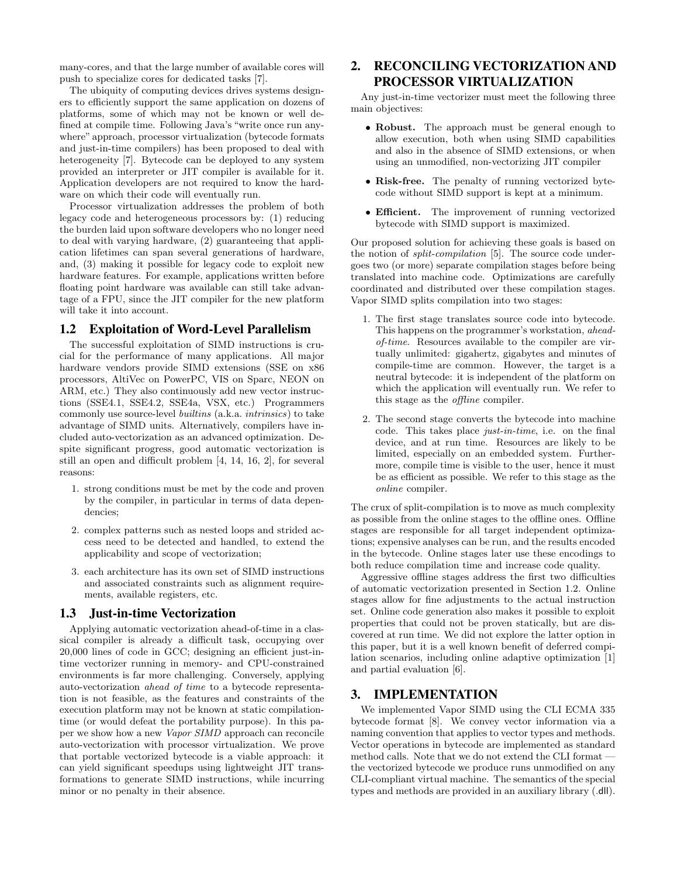many-cores, and that the large number of available cores will push to specialize cores for dedicated tasks [7].

The ubiquity of computing devices drives systems designers to efficiently support the same application on dozens of platforms, some of which may not be known or well defined at compile time. Following Java's "write once run anywhere" approach, processor virtualization (bytecode formats and just-in-time compilers) has been proposed to deal with heterogeneity [7]. Bytecode can be deployed to any system provided an interpreter or JIT compiler is available for it. Application developers are not required to know the hardware on which their code will eventually run.

Processor virtualization addresses the problem of both legacy code and heterogeneous processors by: (1) reducing the burden laid upon software developers who no longer need to deal with varying hardware, (2) guaranteeing that application lifetimes can span several generations of hardware, and, (3) making it possible for legacy code to exploit new hardware features. For example, applications written before floating point hardware was available can still take advantage of a FPU, since the JIT compiler for the new platform will take it into account.

#### 1.2 Exploitation of Word-Level Parallelism

The successful exploitation of SIMD instructions is crucial for the performance of many applications. All major hardware vendors provide SIMD extensions (SSE on x86 processors, AltiVec on PowerPC, VIS on Sparc, NEON on ARM, etc.) They also continuously add new vector instructions (SSE4.1, SSE4.2, SSE4a, VSX, etc.) Programmers commonly use source-level builtins (a.k.a. intrinsics) to take advantage of SIMD units. Alternatively, compilers have included auto-vectorization as an advanced optimization. Despite significant progress, good automatic vectorization is still an open and difficult problem [4, 14, 16, 2], for several reasons:

- 1. strong conditions must be met by the code and proven by the compiler, in particular in terms of data dependencies;
- 2. complex patterns such as nested loops and strided access need to be detected and handled, to extend the applicability and scope of vectorization;
- 3. each architecture has its own set of SIMD instructions and associated constraints such as alignment requirements, available registers, etc.

#### 1.3 Just-in-time Vectorization

Applying automatic vectorization ahead-of-time in a classical compiler is already a difficult task, occupying over 20,000 lines of code in GCC; designing an efficient just-intime vectorizer running in memory- and CPU-constrained environments is far more challenging. Conversely, applying auto-vectorization ahead of time to a bytecode representation is not feasible, as the features and constraints of the execution platform may not be known at static compilationtime (or would defeat the portability purpose). In this paper we show how a new Vapor SIMD approach can reconcile auto-vectorization with processor virtualization. We prove that portable vectorized bytecode is a viable approach: it can yield significant speedups using lightweight JIT transformations to generate SIMD instructions, while incurring minor or no penalty in their absence.

# 2. RECONCILING VECTORIZATION AND PROCESSOR VIRTUALIZATION

Any just-in-time vectorizer must meet the following three main objectives:

- Robust. The approach must be general enough to allow execution, both when using SIMD capabilities and also in the absence of SIMD extensions, or when using an unmodified, non-vectorizing JIT compiler
- Risk-free. The penalty of running vectorized bytecode without SIMD support is kept at a minimum.
- Efficient. The improvement of running vectorized bytecode with SIMD support is maximized.

Our proposed solution for achieving these goals is based on the notion of split-compilation [5]. The source code undergoes two (or more) separate compilation stages before being translated into machine code. Optimizations are carefully coordinated and distributed over these compilation stages. Vapor SIMD splits compilation into two stages:

- 1. The first stage translates source code into bytecode. This happens on the programmer's workstation, aheadof-time. Resources available to the compiler are virtually unlimited: gigahertz, gigabytes and minutes of compile-time are common. However, the target is a neutral bytecode: it is independent of the platform on which the application will eventually run. We refer to this stage as the offline compiler.
- 2. The second stage converts the bytecode into machine code. This takes place just-in-time, i.e. on the final device, and at run time. Resources are likely to be limited, especially on an embedded system. Furthermore, compile time is visible to the user, hence it must be as efficient as possible. We refer to this stage as the online compiler.

The crux of split-compilation is to move as much complexity as possible from the online stages to the offline ones. Offline stages are responsible for all target independent optimizations; expensive analyses can be run, and the results encoded in the bytecode. Online stages later use these encodings to both reduce compilation time and increase code quality.

Aggressive offline stages address the first two difficulties of automatic vectorization presented in Section 1.2. Online stages allow for fine adjustments to the actual instruction set. Online code generation also makes it possible to exploit properties that could not be proven statically, but are discovered at run time. We did not explore the latter option in this paper, but it is a well known benefit of deferred compilation scenarios, including online adaptive optimization [1] and partial evaluation [6].

# 3. IMPLEMENTATION

We implemented Vapor SIMD using the CLI ECMA 335 bytecode format [8]. We convey vector information via a naming convention that applies to vector types and methods. Vector operations in bytecode are implemented as standard method calls. Note that we do not extend the CLI format the vectorized bytecode we produce runs unmodified on any CLI-compliant virtual machine. The semantics of the special types and methods are provided in an auxiliary library (.dll).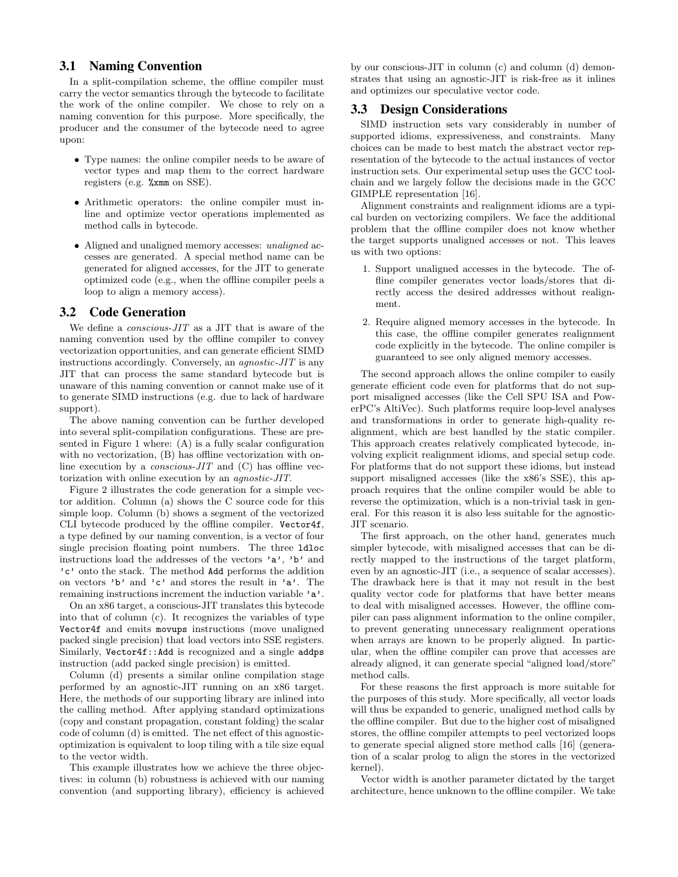#### 3.1 Naming Convention

In a split-compilation scheme, the offline compiler must carry the vector semantics through the bytecode to facilitate the work of the online compiler. We chose to rely on a naming convention for this purpose. More specifically, the producer and the consumer of the bytecode need to agree upon:

- Type names: the online compiler needs to be aware of vector types and map them to the correct hardware registers (e.g. %xmm on SSE).
- Arithmetic operators: the online compiler must inline and optimize vector operations implemented as method calls in bytecode.
- Aligned and unaligned memory accesses: *unaligned* accesses are generated. A special method name can be generated for aligned accesses, for the JIT to generate optimized code (e.g., when the offline compiler peels a loop to align a memory access).

#### 3.2 Code Generation

We define a *conscious-JIT* as a JIT that is aware of the naming convention used by the offline compiler to convey vectorization opportunities, and can generate efficient SIMD instructions accordingly. Conversely, an agnostic-JIT is any JIT that can process the same standard bytecode but is unaware of this naming convention or cannot make use of it to generate SIMD instructions (e.g. due to lack of hardware support).

The above naming convention can be further developed into several split-compilation configurations. These are presented in Figure 1 where: (A) is a fully scalar configuration with no vectorization, (B) has offline vectorization with online execution by a *conscious-JIT* and  $(C)$  has offline vectorization with online execution by an agnostic-JIT.

Figure 2 illustrates the code generation for a simple vector addition. Column (a) shows the C source code for this simple loop. Column (b) shows a segment of the vectorized CLI bytecode produced by the offline compiler. Vector4f, a type defined by our naming convention, is a vector of four single precision floating point numbers. The three ldloc instructions load the addresses of the vectors 'a', 'b' and 'c' onto the stack. The method Add performs the addition on vectors 'b' and 'c' and stores the result in 'a'. The remaining instructions increment the induction variable 'a'.

On an x86 target, a conscious-JIT translates this bytecode into that of column (c). It recognizes the variables of type Vector4f and emits movups instructions (move unaligned packed single precision) that load vectors into SSE registers. Similarly, Vector4f::Add is recognized and a single addps instruction (add packed single precision) is emitted.

Column (d) presents a similar online compilation stage performed by an agnostic-JIT running on an x86 target. Here, the methods of our supporting library are inlined into the calling method. After applying standard optimizations (copy and constant propagation, constant folding) the scalar code of column (d) is emitted. The net effect of this agnosticoptimization is equivalent to loop tiling with a tile size equal to the vector width.

This example illustrates how we achieve the three objectives: in column (b) robustness is achieved with our naming convention (and supporting library), efficiency is achieved by our conscious-JIT in column (c) and column (d) demonstrates that using an agnostic-JIT is risk-free as it inlines and optimizes our speculative vector code.

#### 3.3 Design Considerations

SIMD instruction sets vary considerably in number of supported idioms, expressiveness, and constraints. Many choices can be made to best match the abstract vector representation of the bytecode to the actual instances of vector instruction sets. Our experimental setup uses the GCC toolchain and we largely follow the decisions made in the GCC GIMPLE representation [16].

Alignment constraints and realignment idioms are a typical burden on vectorizing compilers. We face the additional problem that the offline compiler does not know whether the target supports unaligned accesses or not. This leaves us with two options:

- 1. Support unaligned accesses in the bytecode. The offline compiler generates vector loads/stores that directly access the desired addresses without realignment.
- 2. Require aligned memory accesses in the bytecode. In this case, the offline compiler generates realignment code explicitly in the bytecode. The online compiler is guaranteed to see only aligned memory accesses.

The second approach allows the online compiler to easily generate efficient code even for platforms that do not support misaligned accesses (like the Cell SPU ISA and PowerPC's AltiVec). Such platforms require loop-level analyses and transformations in order to generate high-quality realignment, which are best handled by the static compiler. This approach creates relatively complicated bytecode, involving explicit realignment idioms, and special setup code. For platforms that do not support these idioms, but instead support misaligned accesses (like the x86's SSE), this approach requires that the online compiler would be able to reverse the optimization, which is a non-trivial task in general. For this reason it is also less suitable for the agnostic-JIT scenario.

The first approach, on the other hand, generates much simpler bytecode, with misaligned accesses that can be directly mapped to the instructions of the target platform, even by an agnostic-JIT (i.e., a sequence of scalar accesses). The drawback here is that it may not result in the best quality vector code for platforms that have better means to deal with misaligned accesses. However, the offline compiler can pass alignment information to the online compiler, to prevent generating unnecessary realignment operations when arrays are known to be properly aligned. In particular, when the offline compiler can prove that accesses are already aligned, it can generate special "aligned load/store" method calls.

For these reasons the first approach is more suitable for the purposes of this study. More specifically, all vector loads will thus be expanded to generic, unaligned method calls by the offline compiler. But due to the higher cost of misaligned stores, the offline compiler attempts to peel vectorized loops to generate special aligned store method calls [16] (generation of a scalar prolog to align the stores in the vectorized kernel).

Vector width is another parameter dictated by the target architecture, hence unknown to the offline compiler. We take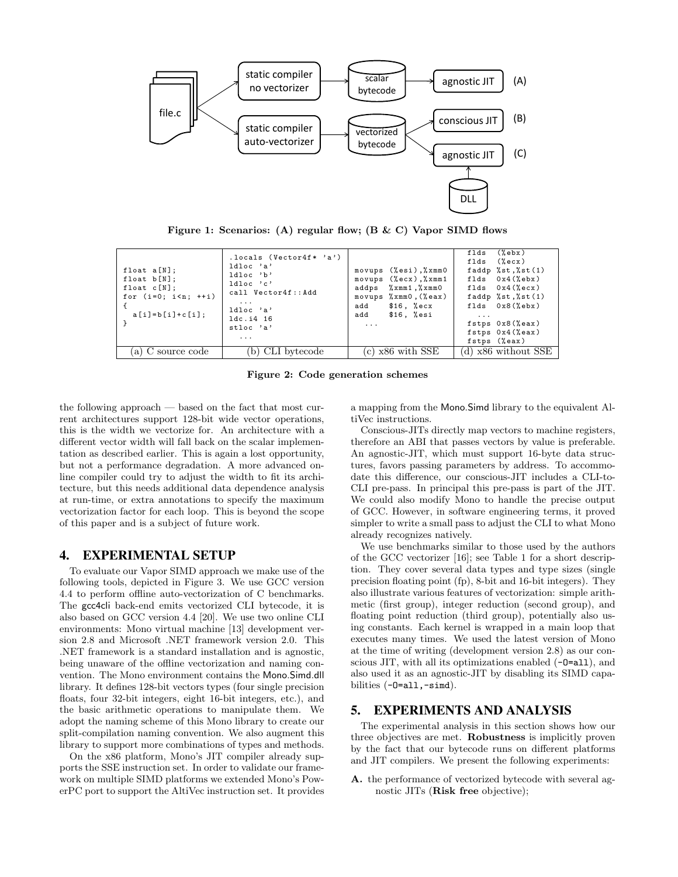

Figure 1: Scenarios: (A) regular flow; (B & C) Vapor SIMD flows

| float a[N]:<br>float b[N];<br>float c[N]:<br>for $(i=0; i \le n; ++i)$<br>$a[i] = b[i] + c[i];$ | .locals (Vector4f* 'a')<br>ldloc 'a'<br>ldloc 'b'<br>$1dloc$ 'c'<br>call Vector4f:: Add<br>$\cdots$<br>$1dloc$ 'a'<br>1dc. i4 16<br>$stloc$ 'a'<br>$\cdot$ $\cdot$ $\cdot$ | movups (%esi),%xmm0<br>movups (%ecx),%xmm1<br>addps %xmm1,%xmm0<br>movups %xmm0, (%eax)<br>$$16$ , $%$ ecx<br>add<br>add \$16, %esi<br>$\cdot$ $\cdot$ $\cdot$ | (%ebx)<br>flds<br>flds $%$ ecx $)$<br>faddp $%st, %st(1)$<br>flds $0x4$ (%ebx)<br>flds $0x4$ $%$ ecx)<br>faddp $%st$ , $%st(1)$<br>flds $0x8$ (%ebx)<br>$\cdot$ $\cdot$ $\cdot$<br>fstps 0x8(%eax)<br>fstps $0x4$ (%eax)<br>fstps (%eax) |
|-------------------------------------------------------------------------------------------------|----------------------------------------------------------------------------------------------------------------------------------------------------------------------------|----------------------------------------------------------------------------------------------------------------------------------------------------------------|------------------------------------------------------------------------------------------------------------------------------------------------------------------------------------------------------------------------------------------|
| a) C source code                                                                                | b) CLI bytecode                                                                                                                                                            | (c) $x86$ with SSE                                                                                                                                             | (d) x86 without SSE                                                                                                                                                                                                                      |

Figure 2: Code generation schemes

the following approach — based on the fact that most current architectures support 128-bit wide vector operations, this is the width we vectorize for. An architecture with a different vector width will fall back on the scalar implementation as described earlier. This is again a lost opportunity, but not a performance degradation. A more advanced online compiler could try to adjust the width to fit its architecture, but this needs additional data dependence analysis at run-time, or extra annotations to specify the maximum vectorization factor for each loop. This is beyond the scope of this paper and is a subject of future work.

#### 4. EXPERIMENTAL SETUP

To evaluate our Vapor SIMD approach we make use of the following tools, depicted in Figure 3. We use GCC version 4.4 to perform offline auto-vectorization of C benchmarks. The gcc4cli back-end emits vectorized CLI bytecode, it is also based on GCC version 4.4 [20]. We use two online CLI environments: Mono virtual machine [13] development version 2.8 and Microsoft .NET framework version 2.0. This .NET framework is a standard installation and is agnostic, being unaware of the offline vectorization and naming convention. The Mono environment contains the Mono.Simd.dll library. It defines 128-bit vectors types (four single precision floats, four 32-bit integers, eight 16-bit integers, etc.), and the basic arithmetic operations to manipulate them. We adopt the naming scheme of this Mono library to create our split-compilation naming convention. We also augment this library to support more combinations of types and methods.

On the x86 platform, Mono's JIT compiler already supports the SSE instruction set. In order to validate our framework on multiple SIMD platforms we extended Mono's PowerPC port to support the AltiVec instruction set. It provides a mapping from the Mono.Simd library to the equivalent AltiVec instructions.

Conscious-JITs directly map vectors to machine registers, therefore an ABI that passes vectors by value is preferable. An agnostic-JIT, which must support 16-byte data structures, favors passing parameters by address. To accommodate this difference, our conscious-JIT includes a CLI-to-CLI pre-pass. In principal this pre-pass is part of the JIT. We could also modify Mono to handle the precise output of GCC. However, in software engineering terms, it proved simpler to write a small pass to adjust the CLI to what Mono already recognizes natively.

We use benchmarks similar to those used by the authors of the GCC vectorizer [16]; see Table 1 for a short description. They cover several data types and type sizes (single precision floating point (fp), 8-bit and 16-bit integers). They also illustrate various features of vectorization: simple arithmetic (first group), integer reduction (second group), and floating point reduction (third group), potentially also using constants. Each kernel is wrapped in a main loop that executes many times. We used the latest version of Mono at the time of writing (development version 2.8) as our conscious JIT, with all its optimizations enabled  $(-0=$ all), and also used it as an agnostic-JIT by disabling its SIMD capabilities  $(-0=all,-simd)$ .

### 5. EXPERIMENTS AND ANALYSIS

The experimental analysis in this section shows how our three objectives are met. Robustness is implicitly proven by the fact that our bytecode runs on different platforms and JIT compilers. We present the following experiments:

A. the performance of vectorized bytecode with several agnostic JITs (Risk free objective);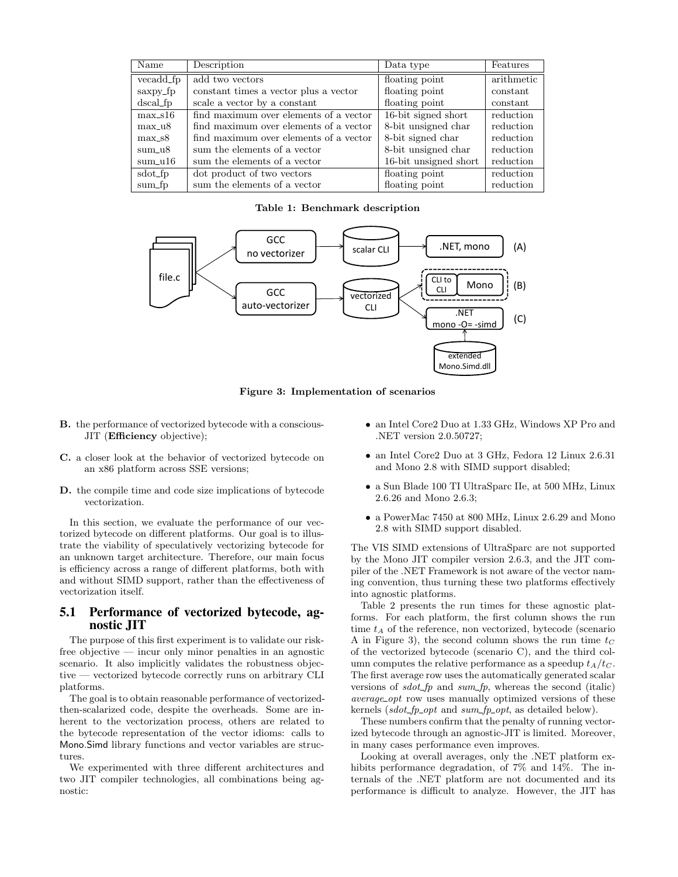| Name       | Description                            | Data type             | Features   |
|------------|----------------------------------------|-----------------------|------------|
| vecadd_fp  | add two vectors                        | floating point        | arithmetic |
| $saxyy_f$  | constant times a vector plus a vector  | floating point        | constant   |
| dscal_fp   | scale a vector by a constant           | floating point        | constant   |
| $max_s16$  | find maximum over elements of a vector | 16-bit signed short   | reduction  |
| $max_u 8$  | find maximum over elements of a vector | 8-bit unsigned char   | reduction  |
| $max_s8$   | find maximum over elements of a vector | 8-bit signed char     | reduction  |
| $sum_18$   | sum the elements of a vector           | 8-bit unsigned char   | reduction  |
| $sum_1 16$ | sum the elements of a vector           | 16-bit unsigned short | reduction  |
| sdot_fp    | dot product of two vectors             | floating point        | reduction  |
| $sum_f$    | sum the elements of a vector           | floating point        | reduction  |

Table 1: Benchmark description



Figure 3: Implementation of scenarios

- B. the performance of vectorized bytecode with a conscious-JIT (Efficiency objective);
- C. a closer look at the behavior of vectorized bytecode on an x86 platform across SSE versions;
- D. the compile time and code size implications of bytecode vectorization.

In this section, we evaluate the performance of our vectorized bytecode on different platforms. Our goal is to illustrate the viability of speculatively vectorizing bytecode for an unknown target architecture. Therefore, our main focus is efficiency across a range of different platforms, both with and without SIMD support, rather than the effectiveness of vectorization itself.

#### 5.1 Performance of vectorized bytecode, agnostic JIT

The purpose of this first experiment is to validate our riskfree objective — incur only minor penalties in an agnostic scenario. It also implicitly validates the robustness objective — vectorized bytecode correctly runs on arbitrary CLI platforms.

The goal is to obtain reasonable performance of vectorizedthen-scalarized code, despite the overheads. Some are inherent to the vectorization process, others are related to the bytecode representation of the vector idioms: calls to Mono.Simd library functions and vector variables are structures.

We experimented with three different architectures and two JIT compiler technologies, all combinations being agnostic:

- an Intel Core2 Duo at 1.33 GHz, Windows XP Pro and .NET version 2.0.50727;
- an Intel Core2 Duo at 3 GHz, Fedora 12 Linux 2.6.31 and Mono 2.8 with SIMD support disabled;
- a Sun Blade 100 TI UltraSparc IIe, at 500 MHz, Linux 2.6.26 and Mono 2.6.3;
- a PowerMac 7450 at 800 MHz, Linux 2.6.29 and Mono 2.8 with SIMD support disabled.

The VIS SIMD extensions of UltraSparc are not supported by the Mono JIT compiler version 2.6.3, and the JIT compiler of the .NET Framework is not aware of the vector naming convention, thus turning these two platforms effectively into agnostic platforms.

Table 2 presents the run times for these agnostic platforms. For each platform, the first column shows the run time  $t_A$  of the reference, non vectorized, bytecode (scenario A in Figure 3), the second column shows the run time  $t_C$ of the vectorized bytecode (scenario C), and the third column computes the relative performance as a speedup  $t_A/t_C$ . The first average row uses the automatically generated scalar versions of  $sdot\_fp$  and  $sum\_fp$ , whereas the second (italic) average opt row uses manually optimized versions of these kernels (sdot  $fp_{opt}$  and sum  $fp_{opt}$ , as detailed below).

These numbers confirm that the penalty of running vectorized bytecode through an agnostic-JIT is limited. Moreover, in many cases performance even improves.

Looking at overall averages, only the .NET platform exhibits performance degradation, of 7% and 14%. The internals of the .NET platform are not documented and its performance is difficult to analyze. However, the JIT has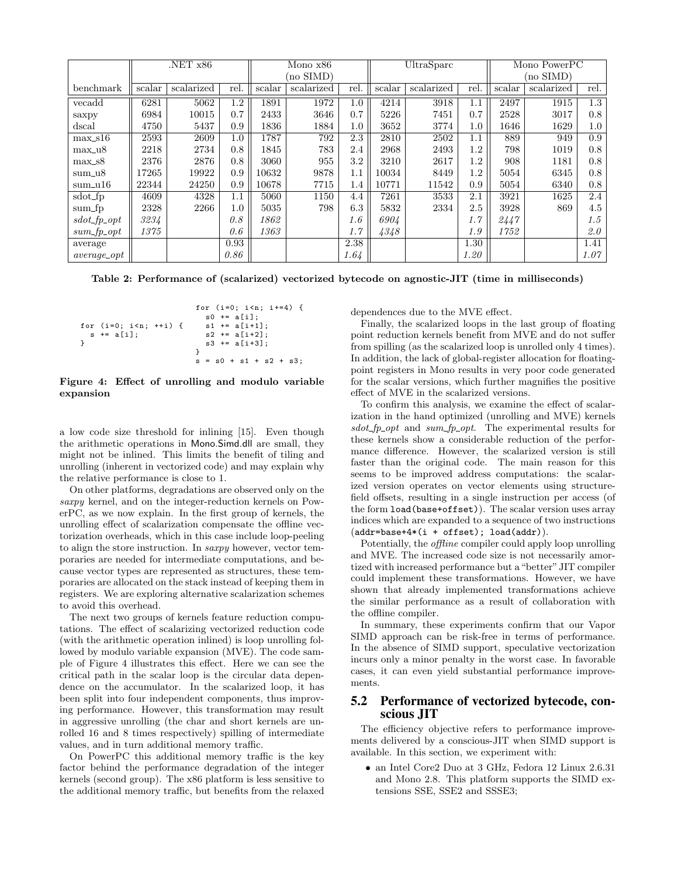|                      | .NET $x86$ |            |         | Mono x86 |            |         |        | UltraSparc |         | Mono PowerPC |            |         |  |
|----------------------|------------|------------|---------|----------|------------|---------|--------|------------|---------|--------------|------------|---------|--|
|                      |            |            |         |          | (no SIMD)  |         |        |            |         | (no SIMD)    |            |         |  |
| benchmark            | scalar     | scalarized | rel.    | scalar   | scalarized | rel.    | scalar | scalarized | rel.    | scalar       | scalarized | rel.    |  |
| vecadd               | 6281       | 5062       | $1.2\,$ | 1891     | 1972       | $1.0\,$ | 4214   | 3918       | $1.1\,$ | 2497         | 1915       | $1.3\,$ |  |
| saxpy                | 6984       | 10015      | 0.7     | 2433     | 3646       | 0.7     | 5226   | 7451       | 0.7     | 2528         | 3017       | 0.8     |  |
| dscal                | 4750       | 5437       | 0.9     | 1836     | 1884       | 1.0     | 3652   | 3774       | 1.0     | 1646         | 1629       | 1.0     |  |
| $max_s1\overline{6}$ | 2593       | 2609       | 1.0     | 1787     | 792        | 2.3     | 2810   | 2502       | 1.1     | 889          | 949        | 0.9     |  |
| $max_u8$             | 2218       | 2734       | 0.8     | 1845     | 783        | 2.4     | 2968   | 2493       | $1.2\,$ | 798          | 1019       | 0.8     |  |
| $max_s8$             | 2376       | 2876       | 0.8     | 3060     | 955        | 3.2     | 3210   | 2617       | $1.2\,$ | 908          | 1181       | 0.8     |  |
| $sum_18$             | 17265      | 19922      | 0.9     | 10632    | 9878       | 1.1     | 10034  | 8449       | $1.2\,$ | 5054         | 6345       | 0.8     |  |
| $sum_1 16$           | 22344      | 24250      | 0.9     | 10678    | 7715       | 1.4     | 10771  | 11542      | 0.9     | 5054         | 6340       | 0.8     |  |
| sdot_fp              | 4609       | 4328       | 1.1     | 5060     | 1150       | 4.4     | 7261   | 3533       | 2.1     | 3921         | 1625       | 2.4     |  |
| sum_fp               | 2328       | 2266       | 1.0     | 5035     | 798        | 6.3     | 5832   | 2334       | 2.5     | 3928         | 869        | 4.5     |  |
| $sdot\_fp\_opt$      | 3234       |            | 0.8     | 1862     |            | 1.6     | 6904   |            | 1.7     | 2447         |            | 1.5     |  |
| $sum\_fp\_opt$       | 1375       |            | 0.6     | 1363     |            | 1.7     | 4348   |            | 1.9     | 1752         |            | 2.0     |  |
| average              |            |            | 0.93    |          |            | 2.38    |        |            | 1.30    |              |            | 1.41    |  |
| $average\_opt$       |            |            | 0.86    |          |            | 1.64    |        |            | 1.20    |              |            | 1.07    |  |

Table 2: Performance of (scalarized) vectorized bytecode on agnostic-JIT (time in milliseconds)

$$
\begin{array}{ccccc}\n & & \text{for} & (i=0; i < n; i++) < 4) \\
& & & \text{so} & + & a[i]; \\
& & & \text{so} & + & a[i+1]; \\
& & & \text{so} & + & a[i+1]; \\
& & & \text{so} & + & a[i+2]; \\
& & & & \text{so} & + & a[i+3]; \\
& & & & & \text{so} & + & a[i+3]; \\
& & & & & & \text{so} & + & s1 + s2 + s3;\n\end{array}
$$



a low code size threshold for inlining [15]. Even though the arithmetic operations in Mono.Simd.dll are small, they might not be inlined. This limits the benefit of tiling and unrolling (inherent in vectorized code) and may explain why the relative performance is close to 1.

On other platforms, degradations are observed only on the saxpy kernel, and on the integer-reduction kernels on PowerPC, as we now explain. In the first group of kernels, the unrolling effect of scalarization compensate the offline vectorization overheads, which in this case include loop-peeling to align the store instruction. In saxpy however, vector temporaries are needed for intermediate computations, and because vector types are represented as structures, these temporaries are allocated on the stack instead of keeping them in registers. We are exploring alternative scalarization schemes to avoid this overhead.

The next two groups of kernels feature reduction computations. The effect of scalarizing vectorized reduction code (with the arithmetic operation inlined) is loop unrolling followed by modulo variable expansion (MVE). The code sample of Figure 4 illustrates this effect. Here we can see the critical path in the scalar loop is the circular data dependence on the accumulator. In the scalarized loop, it has been split into four independent components, thus improving performance. However, this transformation may result in aggressive unrolling (the char and short kernels are unrolled 16 and 8 times respectively) spilling of intermediate values, and in turn additional memory traffic.

On PowerPC this additional memory traffic is the key factor behind the performance degradation of the integer kernels (second group). The x86 platform is less sensitive to the additional memory traffic, but benefits from the relaxed dependences due to the MVE effect.

Finally, the scalarized loops in the last group of floating point reduction kernels benefit from MVE and do not suffer from spilling (as the scalarized loop is unrolled only 4 times). In addition, the lack of global-register allocation for floatingpoint registers in Mono results in very poor code generated for the scalar versions, which further magnifies the positive effect of MVE in the scalarized versions.

To confirm this analysis, we examine the effect of scalarization in the hand optimized (unrolling and MVE) kernels  $sdot_f p\_opt$  and  $sum_f p\_opt$ . The experimental results for these kernels show a considerable reduction of the performance difference. However, the scalarized version is still faster than the original code. The main reason for this seems to be improved address computations: the scalarized version operates on vector elements using structurefield offsets, resulting in a single instruction per access (of the form load(base+offset)). The scalar version uses array indices which are expanded to a sequence of two instructions  $(addr=base+4*(i + offset); load(addr)).$ 

Potentially, the offline compiler could apply loop unrolling and MVE. The increased code size is not necessarily amortized with increased performance but a "better"JIT compiler could implement these transformations. However, we have shown that already implemented transformations achieve the similar performance as a result of collaboration with the offline compiler.

In summary, these experiments confirm that our Vapor SIMD approach can be risk-free in terms of performance. In the absence of SIMD support, speculative vectorization incurs only a minor penalty in the worst case. In favorable cases, it can even yield substantial performance improvements.

#### 5.2 Performance of vectorized bytecode, conscious JIT

The efficiency objective refers to performance improvements delivered by a conscious-JIT when SIMD support is available. In this section, we experiment with:

• an Intel Core2 Duo at 3 GHz, Fedora 12 Linux 2.6.31 and Mono 2.8. This platform supports the SIMD extensions SSE, SSE2 and SSSE3;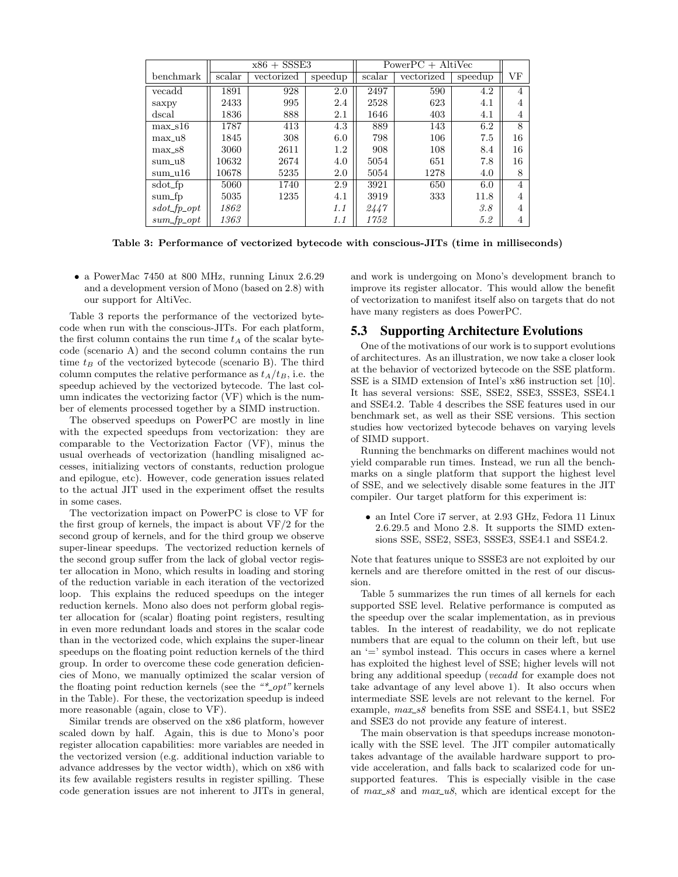|                 |        | $x86 + SSSE3$ |         | $PowerPC + AltiVec$ |            |         |                |
|-----------------|--------|---------------|---------|---------------------|------------|---------|----------------|
| benchmark       | scalar | vectorized    | speedup | scalar              | vectorized | speedup | VF             |
| vecadd          | 1891   | 928           | 2.0     | 2497                | 590        | 4.2     | 4              |
| saxpy           | 2433   | 995           | 2.4     | 2528                | 623        | 4.1     | 4              |
| dscal           | 1836   | 888           | 2.1     | 1646                | 403        | 4.1     | 4              |
| $max_s16$       | 1787   | 413           | 4.3     | 889                 | 143        | 6.2     | 8              |
| $max_u 8$       | 1845   | 308           | 6.0     | 798                 | 106        | 7.5     | 16             |
| $max_s8$        | 3060   | 2611          | 1.2     | 908                 | 108        | 8.4     | 16             |
| $sum_18$        | 10632  | 2674          | 4.0     | 5054                | 651        | 7.8     | 16             |
| $sum_1 16$      | 10678  | 5235          | 2.0     | 5054                | 1278       | 4.0     | 8              |
| sdot_fp         | 5060   | 1740          | 2.9     | 3921                | 650        | 6.0     | $\overline{4}$ |
| sum_fp          | 5035   | 1235          | 4.1     | 3919                | 333        | 11.8    | 4              |
| $sdot\_fp\_opt$ | 1862   |               | 1.1     | 2447                |            | 3.8     | 4              |
| $sum\_fp\_opt$  | 1363   |               | 1.1     | 1752                |            | 5.2     | 4              |

Table 3: Performance of vectorized bytecode with conscious-JITs (time in milliseconds)

• a PowerMac 7450 at 800 MHz, running Linux 2.6.29 and a development version of Mono (based on 2.8) with our support for AltiVec.

Table 3 reports the performance of the vectorized bytecode when run with the conscious-JITs. For each platform, the first column contains the run time  $t_A$  of the scalar bytecode (scenario A) and the second column contains the run time  $t_B$  of the vectorized bytecode (scenario B). The third column computes the relative performance as  $t_A/t_B$ , i.e. the speedup achieved by the vectorized bytecode. The last column indicates the vectorizing factor (VF) which is the number of elements processed together by a SIMD instruction.

The observed speedups on PowerPC are mostly in line with the expected speedups from vectorization: they are comparable to the Vectorization Factor (VF), minus the usual overheads of vectorization (handling misaligned accesses, initializing vectors of constants, reduction prologue and epilogue, etc). However, code generation issues related to the actual JIT used in the experiment offset the results in some cases.

The vectorization impact on PowerPC is close to VF for the first group of kernels, the impact is about  $VF/2$  for the second group of kernels, and for the third group we observe super-linear speedups. The vectorized reduction kernels of the second group suffer from the lack of global vector register allocation in Mono, which results in loading and storing of the reduction variable in each iteration of the vectorized loop. This explains the reduced speedups on the integer reduction kernels. Mono also does not perform global register allocation for (scalar) floating point registers, resulting in even more redundant loads and stores in the scalar code than in the vectorized code, which explains the super-linear speedups on the floating point reduction kernels of the third group. In order to overcome these code generation deficiencies of Mono, we manually optimized the scalar version of the floating point reduction kernels (see the  $\sqrt[4]{\cdot}$  pt" kernels in the Table). For these, the vectorization speedup is indeed more reasonable (again, close to VF).

Similar trends are observed on the x86 platform, however scaled down by half. Again, this is due to Mono's poor register allocation capabilities: more variables are needed in the vectorized version (e.g. additional induction variable to advance addresses by the vector width), which on x86 with its few available registers results in register spilling. These code generation issues are not inherent to JITs in general,

and work is undergoing on Mono's development branch to improve its register allocator. This would allow the benefit of vectorization to manifest itself also on targets that do not have many registers as does PowerPC.

#### 5.3 Supporting Architecture Evolutions

One of the motivations of our work is to support evolutions of architectures. As an illustration, we now take a closer look at the behavior of vectorized bytecode on the SSE platform. SSE is a SIMD extension of Intel's x86 instruction set [10]. It has several versions: SSE, SSE2, SSE3, SSSE3, SSE4.1 and SSE4.2. Table 4 describes the SSE features used in our benchmark set, as well as their SSE versions. This section studies how vectorized bytecode behaves on varying levels of SIMD support.

Running the benchmarks on different machines would not yield comparable run times. Instead, we run all the benchmarks on a single platform that support the highest level of SSE, and we selectively disable some features in the JIT compiler. Our target platform for this experiment is:

• an Intel Core i7 server, at 2.93 GHz, Fedora 11 Linux 2.6.29.5 and Mono 2.8. It supports the SIMD extensions SSE, SSE2, SSE3, SSSE3, SSE4.1 and SSE4.2.

Note that features unique to SSSE3 are not exploited by our kernels and are therefore omitted in the rest of our discussion.

Table 5 summarizes the run times of all kernels for each supported SSE level. Relative performance is computed as the speedup over the scalar implementation, as in previous tables. In the interest of readability, we do not replicate numbers that are equal to the column on their left, but use an  $=$ ' symbol instead. This occurs in cases where a kernel has exploited the highest level of SSE; higher levels will not bring any additional speedup (vecadd for example does not take advantage of any level above 1). It also occurs when intermediate SSE levels are not relevant to the kernel. For example,  $max_{s8}$  benefits from SSE and SSE4.1, but SSE2 and SSE3 do not provide any feature of interest.

The main observation is that speedups increase monotonically with the SSE level. The JIT compiler automatically takes advantage of the available hardware support to provide acceleration, and falls back to scalarized code for unsupported features. This is especially visible in the case of  $max_{s8}$  and  $max_{u8}$ , which are identical except for the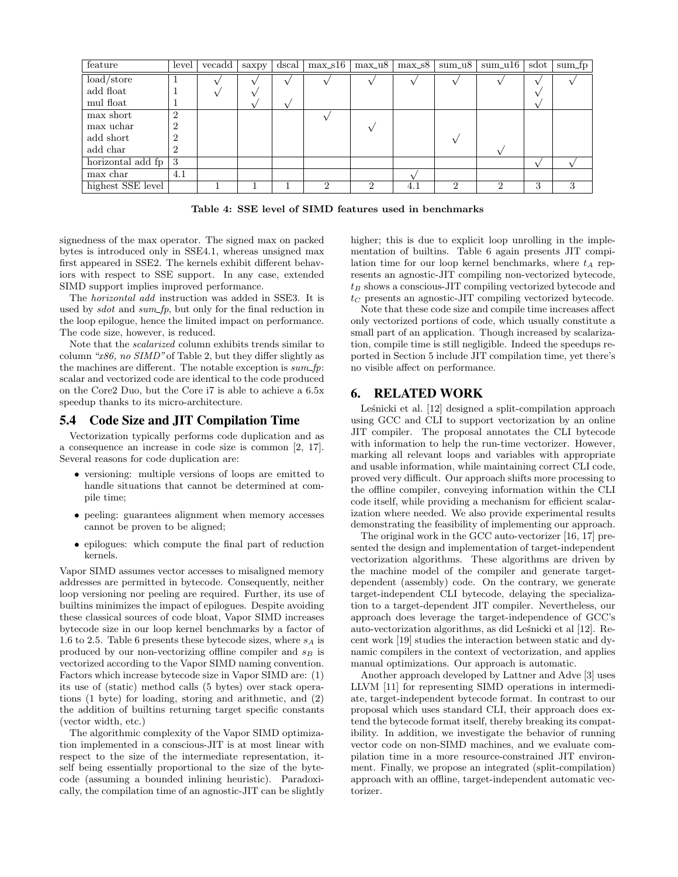| feature           | level | vecadd | saxpy | dscal | $max_s16$   $max_u8$   $max_s8$   $sum_u8$ |                |     |               | $sum_1 16$ | sdot | sum_fp |
|-------------------|-------|--------|-------|-------|--------------------------------------------|----------------|-----|---------------|------------|------|--------|
| load/store        |       |        |       |       |                                            |                |     |               |            |      |        |
| add float         |       |        |       |       |                                            |                |     |               |            |      |        |
| mul float         |       |        |       |       |                                            |                |     |               |            |      |        |
| max short         | 2     |        |       |       |                                            |                |     |               |            |      |        |
| max uchar         | റ     |        |       |       |                                            |                |     |               |            |      |        |
| add short         |       |        |       |       |                                            |                |     |               |            |      |        |
| add char          | 2     |        |       |       |                                            |                |     |               |            |      |        |
| horizontal add fp | - 3   |        |       |       |                                            |                |     |               |            |      |        |
| max char          | 4.1   |        |       |       |                                            |                |     |               |            |      |        |
| highest SSE level |       |        |       |       | $\mathcal{D}$                              | $\mathfrak{D}$ | 4.1 | $\mathcal{D}$ | ച          | 3    | 3      |

Table 4: SSE level of SIMD features used in benchmarks

signedness of the max operator. The signed max on packed bytes is introduced only in SSE4.1, whereas unsigned max first appeared in SSE2. The kernels exhibit different behaviors with respect to SSE support. In any case, extended SIMD support implies improved performance.

The horizontal add instruction was added in SSE3. It is used by  $sdot$  and  $sum\_fp$ , but only for the final reduction in the loop epilogue, hence the limited impact on performance. The code size, however, is reduced.

Note that the scalarized column exhibits trends similar to column " $x86$ , no  $SIMD$ " of Table 2, but they differ slightly as the machines are different. The notable exception is  $sum\_fp$ : scalar and vectorized code are identical to the code produced on the Core2 Duo, but the Core i7 is able to achieve a 6.5x speedup thanks to its micro-architecture.

## 5.4 Code Size and JIT Compilation Time

Vectorization typically performs code duplication and as a consequence an increase in code size is common [2, 17]. Several reasons for code duplication are:

- versioning: multiple versions of loops are emitted to handle situations that cannot be determined at compile time;
- peeling: guarantees alignment when memory accesses cannot be proven to be aligned;
- epilogues: which compute the final part of reduction kernels.

Vapor SIMD assumes vector accesses to misaligned memory addresses are permitted in bytecode. Consequently, neither loop versioning nor peeling are required. Further, its use of builtins minimizes the impact of epilogues. Despite avoiding these classical sources of code bloat, Vapor SIMD increases bytecode size in our loop kernel benchmarks by a factor of 1.6 to 2.5. Table 6 presents these bytecode sizes, where  $s_A$  is produced by our non-vectorizing offline compiler and  $s_B$  is vectorized according to the Vapor SIMD naming convention. Factors which increase bytecode size in Vapor SIMD are: (1) its use of (static) method calls (5 bytes) over stack operations (1 byte) for loading, storing and arithmetic, and (2) the addition of builtins returning target specific constants (vector width, etc.)

The algorithmic complexity of the Vapor SIMD optimization implemented in a conscious-JIT is at most linear with respect to the size of the intermediate representation, itself being essentially proportional to the size of the bytecode (assuming a bounded inlining heuristic). Paradoxically, the compilation time of an agnostic-JIT can be slightly higher; this is due to explicit loop unrolling in the implementation of builtins. Table 6 again presents JIT compilation time for our loop kernel benchmarks, where  $t_A$  represents an agnostic-JIT compiling non-vectorized bytecode,  $t_B$  shows a conscious-JIT compiling vectorized bytecode and  $t_C$  presents an agnostic-JIT compiling vectorized bytecode.

Note that these code size and compile time increases affect only vectorized portions of code, which usually constitute a small part of an application. Though increased by scalarization, compile time is still negligible. Indeed the speedups reported in Section 5 include JIT compilation time, yet there's no visible affect on performance.

#### 6. RELATED WORK

Leśnicki et al. [12] designed a split-compilation approach using GCC and CLI to support vectorization by an online JIT compiler. The proposal annotates the CLI bytecode with information to help the run-time vectorizer. However, marking all relevant loops and variables with appropriate and usable information, while maintaining correct CLI code, proved very difficult. Our approach shifts more processing to the offline compiler, conveying information within the CLI code itself, while providing a mechanism for efficient scalarization where needed. We also provide experimental results demonstrating the feasibility of implementing our approach.

The original work in the GCC auto-vectorizer [16, 17] presented the design and implementation of target-independent vectorization algorithms. These algorithms are driven by the machine model of the compiler and generate targetdependent (assembly) code. On the contrary, we generate target-independent CLI bytecode, delaying the specialization to a target-dependent JIT compiler. Nevertheless, our approach does leverage the target-independence of GCC's auto-vectorization algorithms, as did Leśnicki et al [12]. Recent work [19] studies the interaction between static and dynamic compilers in the context of vectorization, and applies manual optimizations. Our approach is automatic.

Another approach developed by Lattner and Adve [3] uses LLVM [11] for representing SIMD operations in intermediate, target-independent bytecode format. In contrast to our proposal which uses standard CLI, their approach does extend the bytecode format itself, thereby breaking its compatibility. In addition, we investigate the behavior of running vector code on non-SIMD machines, and we evaluate compilation time in a more resource-constrained JIT environment. Finally, we propose an integrated (split-compilation) approach with an offline, target-independent automatic vectorizer.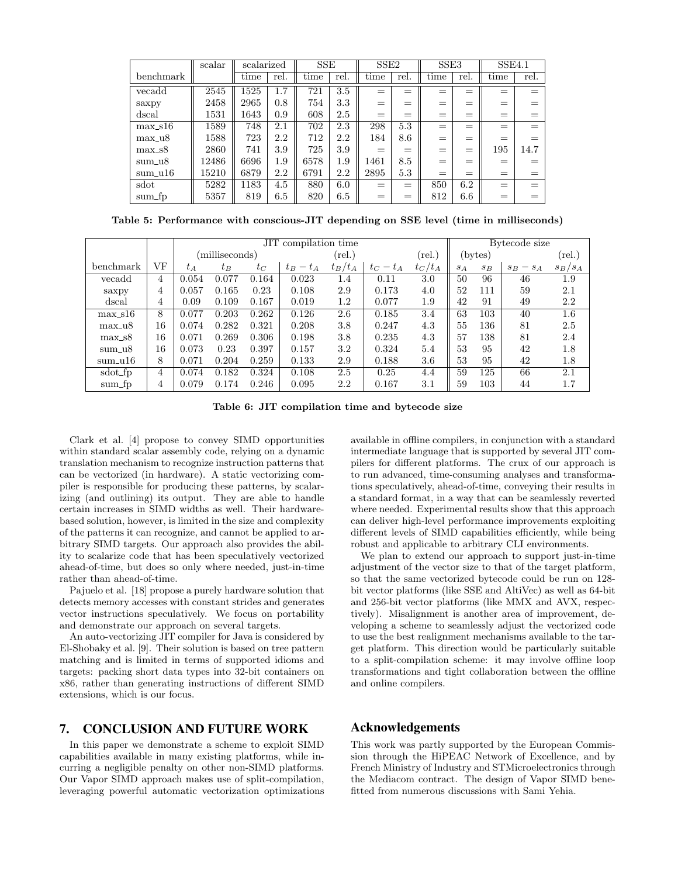|                            | scalar | scalarized |      | <b>SSE</b> |      | SSE <sub>2</sub> |      | SSE <sub>3</sub> |      | SSE4.1 |      |
|----------------------------|--------|------------|------|------------|------|------------------|------|------------------|------|--------|------|
| $\operatorname{benchmark}$ |        | time       | rel. | time       | rel. | time             | rel. | time             | rel. | time   | rel. |
| vecadd                     | 2545   | 1525       | 1.7  | 721        | 3.5  | $=$              | $=$  | $=$              | $=$  | $=$    |      |
| saxpy                      | 2458   | 2965       | 0.8  | 754        | 3.3  | $=$              | $=$  | $=$              | $=$  | $=$    |      |
| dscal                      | 1531   | 1643       | 0.9  | 608        | 2.5  | $=$              | $=$  | $=$              | $=$  | $=$    |      |
| $max_s16$                  | 1589   | 748        | 2.1  | 702        | 2.3  | 298              | 5.3  | $=$              | $=$  | $=$    |      |
| $max_u 8$                  | 1588   | 723        | 2.2  | 712        | 2.2  | 184              | 8.6  | $=$              | $=$  | $=$    |      |
| $max_s8$                   | 2860   | 741        | 3.9  | 725        | 3.9  | $=$              | $=$  | $=$              | $=$  | 195    | 14.7 |
| $sum_18$                   | 12486  | 6696       | 1.9  | 6578       | 1.9  | 1461             | 8.5  | $=$              | $=$  | $=$    |      |
| $sum_1 16$                 | 15210  | 6879       | 2.2  | 6791       | 2.2  | 2895             | 5.3  | $=$              | $=$  | $=$    |      |
| sdot                       | 5282   | 1183       | 4.5  | 880        | 6.0  | $=$              | $=$  | 850              | 6.2  | $=$    |      |
| sum_fp                     | 5357   | 819        | 6.5  | 820        | 6.5  | $=$              | $=$  | 812              | 6.6  | $=$    |      |

Table 5: Performance with conscious-JIT depending on SSE level (time in milliseconds)

|            |    | JIT compilation time |                |       |                    |           |           |                   | Bytecode size |         |                 |           |  |
|------------|----|----------------------|----------------|-------|--------------------|-----------|-----------|-------------------|---------------|---------|-----------------|-----------|--|
|            |    |                      | (milliseconds) |       |                    | (rel.)    |           | $(\mathrm{rel.})$ |               | (bytes) |                 | (rel.)    |  |
| benchmark  | VF | $t_A$                | $t_B$          | $t_C$ | $t - t_A$<br>$t_B$ | $t_B/t_A$ | $t_C-t_A$ | $t_C/t_A$         | $S_A$         | $S_{B}$ | $s_B$<br>$ s_A$ | $s_B/s_A$ |  |
| vecadd     | 4  | 0.054                | 0.077          | 0.164 | 0.023              | 1.4       | 0.11      | 3.0               | 50            | 96      | 46              | 1.9       |  |
| saxpy      | 4  | 0.057                | 0.165          | 0.23  | 0.108              | 2.9       | 0.173     | 4.0               | 52            | 111     | 59              | 2.1       |  |
| dscal      | 4  | 0.09                 | 0.109          | 0.167 | 0.019              | 1.2       | 0.077     | 1.9               | 42            | 91      | 49              | 2.2       |  |
| $max_s16$  | 8  | 0.077                | 0.203          | 0.262 | 0.126              | 2.6       | 0.185     | 3.4               | 63            | 103     | 40              | $1.6\,$   |  |
| $max_u8$   | 16 | 0.074                | 0.282          | 0.321 | 0.208              | 3.8       | 0.247     | 4.3               | 55            | 136     | 81              | 2.5       |  |
| $max_s8$   | 16 | 0.071                | 0.269          | 0.306 | 0.198              | 3.8       | 0.235     | 4.3               | 57            | 138     | 81              | 2.4       |  |
| $sum_18$   | 16 | 0.073                | 0.23           | 0.397 | 0.157              | 3.2       | 0.324     | 5.4               | 53            | 95      | 42              | 1.8       |  |
| $sum_1 16$ | 8  | 0.071                | 0.204          | 0.259 | 0.133              | 2.9       | 0.188     | 3.6               | 53            | 95      | 42              | 1.8       |  |
| sdot_fp    | 4  | 0.074                | 0.182          | 0.324 | 0.108              | 2.5       | 0.25      | 4.4               | 59            | 125     | 66              | 2.1       |  |
| sum_fp     | 4  | 0.079                | 0.174          | 0.246 | 0.095              | 2.2       | 0.167     | 3.1               | 59            | $103\,$ | 44              | 1.7       |  |

Table 6: JIT compilation time and bytecode size

Clark et al. [4] propose to convey SIMD opportunities within standard scalar assembly code, relying on a dynamic translation mechanism to recognize instruction patterns that can be vectorized (in hardware). A static vectorizing compiler is responsible for producing these patterns, by scalarizing (and outlining) its output. They are able to handle certain increases in SIMD widths as well. Their hardwarebased solution, however, is limited in the size and complexity of the patterns it can recognize, and cannot be applied to arbitrary SIMD targets. Our approach also provides the ability to scalarize code that has been speculatively vectorized ahead-of-time, but does so only where needed, just-in-time rather than ahead-of-time.

Pajuelo et al. [18] propose a purely hardware solution that detects memory accesses with constant strides and generates vector instructions speculatively. We focus on portability and demonstrate our approach on several targets.

An auto-vectorizing JIT compiler for Java is considered by El-Shobaky et al. [9]. Their solution is based on tree pattern matching and is limited in terms of supported idioms and targets: packing short data types into 32-bit containers on x86, rather than generating instructions of different SIMD extensions, which is our focus.

# 7. CONCLUSION AND FUTURE WORK

In this paper we demonstrate a scheme to exploit SIMD capabilities available in many existing platforms, while incurring a negligible penalty on other non-SIMD platforms. Our Vapor SIMD approach makes use of split-compilation, leveraging powerful automatic vectorization optimizations available in offline compilers, in conjunction with a standard intermediate language that is supported by several JIT compilers for different platforms. The crux of our approach is to run advanced, time-consuming analyses and transformations speculatively, ahead-of-time, conveying their results in a standard format, in a way that can be seamlessly reverted where needed. Experimental results show that this approach can deliver high-level performance improvements exploiting different levels of SIMD capabilities efficiently, while being robust and applicable to arbitrary CLI environments.

We plan to extend our approach to support just-in-time adjustment of the vector size to that of the target platform, so that the same vectorized bytecode could be run on 128 bit vector platforms (like SSE and AltiVec) as well as 64-bit and 256-bit vector platforms (like MMX and AVX, respectively). Misalignment is another area of improvement, developing a scheme to seamlessly adjust the vectorized code to use the best realignment mechanisms available to the target platform. This direction would be particularly suitable to a split-compilation scheme: it may involve offline loop transformations and tight collaboration between the offline and online compilers.

# Acknowledgements

This work was partly supported by the European Commission through the HiPEAC Network of Excellence, and by French Ministry of Industry and STMicroelectronics through the Mediacom contract. The design of Vapor SIMD benefitted from numerous discussions with Sami Yehia.